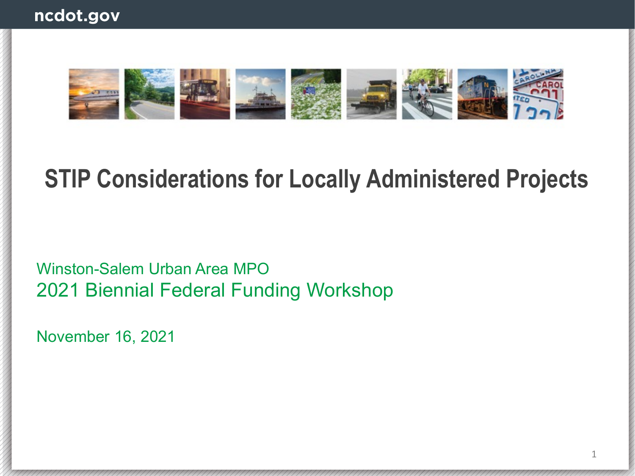

# **STIP Considerations for Locally Administered Projects**

Winston-Salem Urban Area MPO 2021 Biennial Federal Funding Workshop

November 16, 2021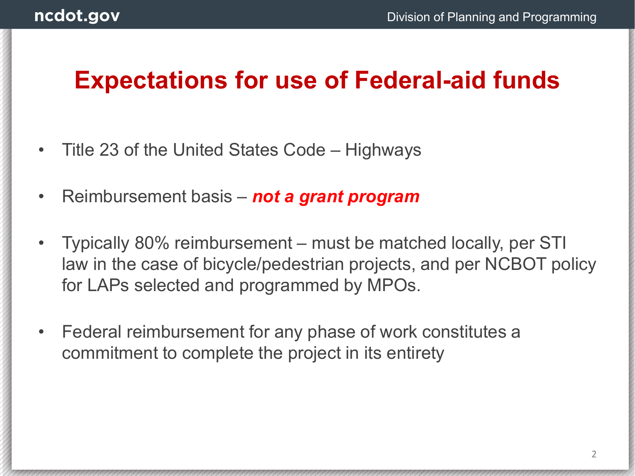### **Expectations for use of Federal-aid funds**

- Title 23 of the United States Code Highways
- Reimbursement basis *not a grant program*
- Typically 80% reimbursement must be matched locally, per STI law in the case of bicycle/pedestrian projects, and per NCBOT policy for LAPs selected and programmed by MPOs.
- Federal reimbursement for any phase of work constitutes a commitment to complete the project in its entirety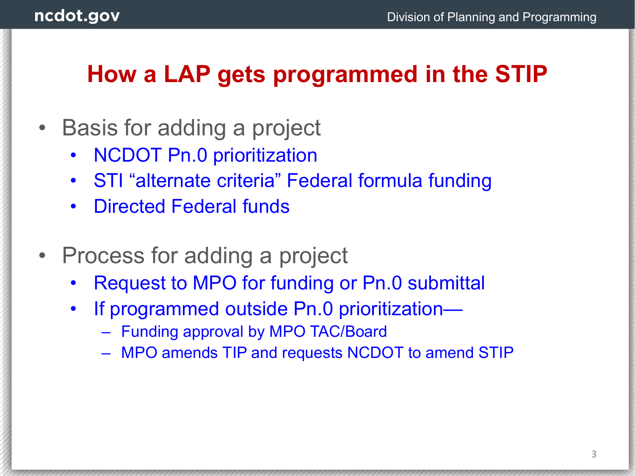## **How a LAP gets programmed in the STIP**

- Basis for adding a project
	- NCDOT Pn.0 prioritization
	- STI "alternate criteria" Federal formula funding
	- Directed Federal funds
- Process for adding a project
	- Request to MPO for funding or Pn.0 submittal
	- If programmed outside Pn.0 prioritization—
		- Funding approval by MPO TAC/Board
		- MPO amends TIP and requests NCDOT to amend STIP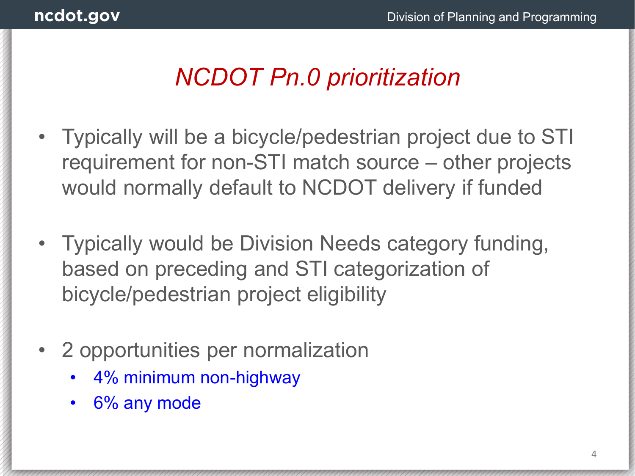## *NCDOT Pn.0 prioritization*

- Typically will be a bicycle/pedestrian project due to STI requirement for non-STI match source – other projects would normally default to NCDOT delivery if funded
- Typically would be Division Needs category funding, based on preceding and STI categorization of bicycle/pedestrian project eligibility
- 2 opportunities per normalization
	- 4% minimum non-highway
	- 6% any mode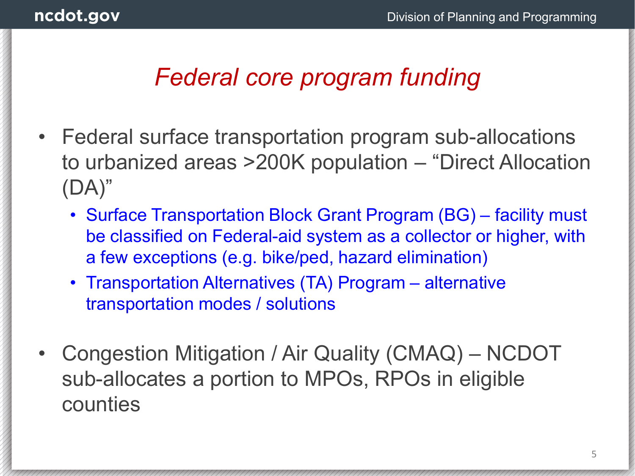## *Federal core program funding*

- Federal surface transportation program sub-allocations to urbanized areas >200K population – "Direct Allocation (DA)"
	- Surface Transportation Block Grant Program (BG) facility must be classified on Federal-aid system as a collector or higher, with a few exceptions (e.g. bike/ped, hazard elimination)
	- Transportation Alternatives (TA) Program alternative transportation modes / solutions
- Congestion Mitigation / Air Quality (CMAQ) NCDOT sub-allocates a portion to MPOs, RPOs in eligible counties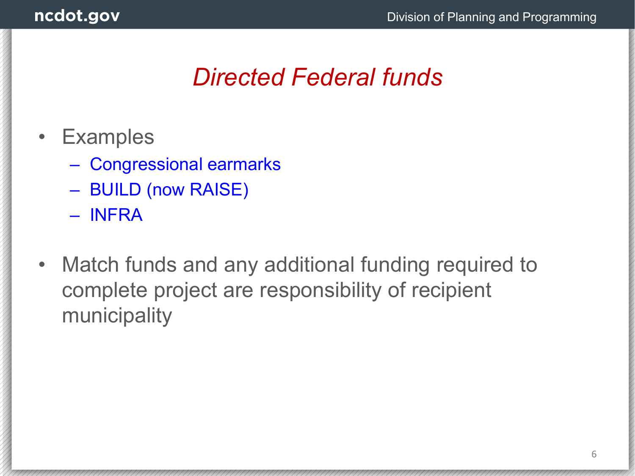### *Directed Federal funds*

- Examples
	- Congressional earmarks
	- BUILD (now RAISE)
	- INFRA
- Match funds and any additional funding required to complete project are responsibility of recipient municipality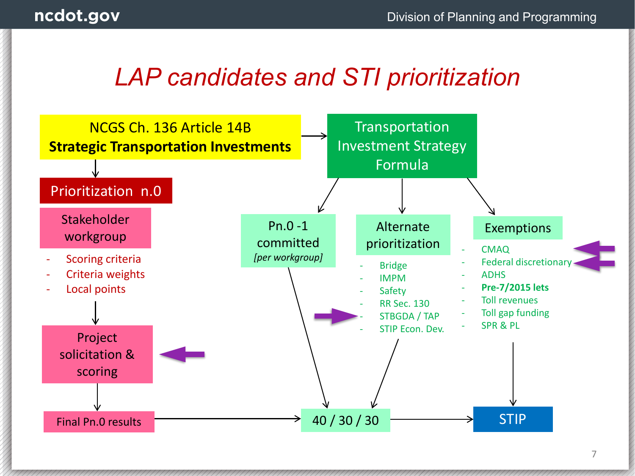### *LAP candidates and STI prioritization*

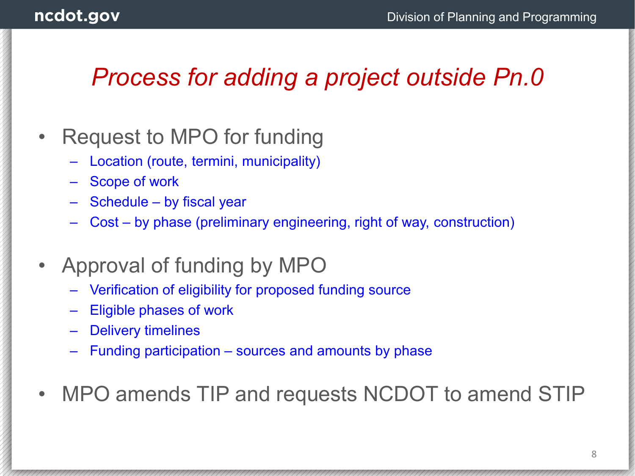### *Process for adding a project outside Pn.0*

#### • Request to MPO for funding

- Location (route, termini, municipality)
- Scope of work
- Schedule by fiscal year
- Cost by phase (preliminary engineering, right of way, construction)
- Approval of funding by MPO
	- Verification of eligibility for proposed funding source
	- Eligible phases of work
	- **Delivery timelines**
	- Funding participation sources and amounts by phase
- MPO amends TIP and requests NCDOT to amend STIP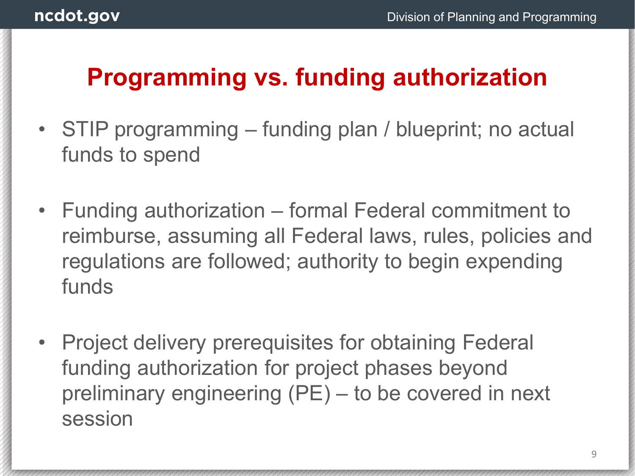## **Programming vs. funding authorization**

- STIP programming funding plan / blueprint; no actual funds to spend
- Funding authorization formal Federal commitment to reimburse, assuming all Federal laws, rules, policies and regulations are followed; authority to begin expending funds
- Project delivery prerequisites for obtaining Federal funding authorization for project phases beyond preliminary engineering (PE) – to be covered in next session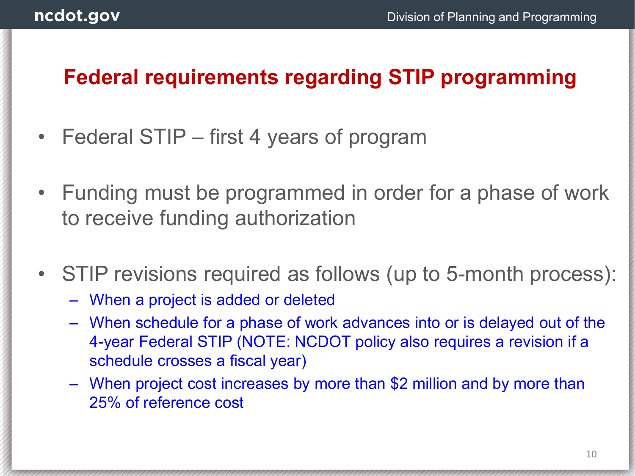#### **Federal requirements regarding STIP programming**

- Federal STIP first 4 years of program
- Funding must be programmed in order for a phase of work to receive funding authorization
- STIP revisions required as follows (up to 5-month process):
	- When a project is added or deleted
	- When schedule for a phase of work advances into or is delayed out of the 4-year Federal STIP (NOTE: NCDOT policy also requires a revision if a schedule crosses a fiscal year)
	- When project cost increases by more than \$2 million and by more than 25% of reference cost